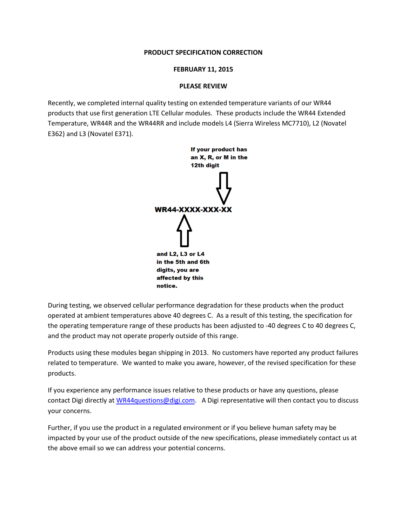# **PRODUCT SPECIFICATION CORRECTION**

# **FEBRUARY 11, 2015**

# **PLEASE REVIEW**

Recently, we completed internal quality testing on extended temperature variants of our WR44 products that use first generation LTE Cellular modules. These products include the WR44 Extended Temperature, WR44R and the WR44RR and include models L4 (Sierra Wireless MC7710), L2 (Novatel E362) and L3 (Novatel E371).



During testing, we observed cellular performance degradation for these products when the product operated at ambient temperatures above 40 degrees C. As a result of this testing, the specification for the operating temperature range of these products has been adjusted to -40 degrees C to 40 degrees C, and the product may not operate properly outside of this range.

Products using these modules began shipping in 2013. No customers have reported any product failures related to temperature. We wanted to make you aware, however, of the revised specification for these products.

If you experience any performance issues relative to these products or have any questions, please contact Digi directly at [WR44questions@digi.com.](mailto:WR44questions@digi.com) A Digi representative will then contact you to discuss your concerns.

Further, if you use the product in a regulated environment or if you believe human safety may be impacted by your use of the product outside of the new specifications, please immediately contact us at the above email so we can address your potential concerns.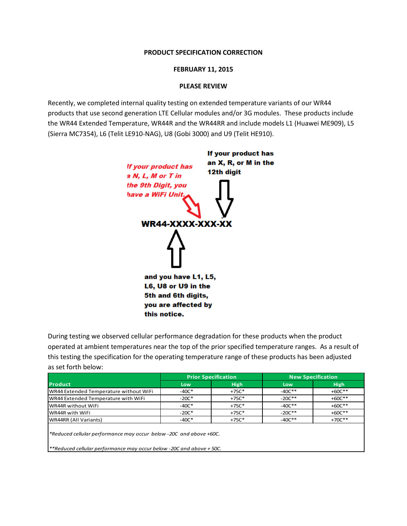# **PRODUCT SPECIFICATION CORRECTION**

# **FEBRUARY 11, 2015**

# **PLEASE REVIEW**

Recently, we completed internal quality testing on extended temperature variants of our WR44 products that use second generation LTE Cellular modules and/or 3G modules. These products include the WR44 Extended Temperature, WR44R and the WR44RR and include models L1 (Huawei ME909), L5 (Sierra MC7354), L6 (Telit LE910-NAG), U8 (Gobi 3000) and U9 (Telit HE910).



During testing we observed cellular performance degradation for these products when the product operated at ambient temperatures near the top of the prior specified temperature ranges. As a result of this testing the specification for the operating temperature range of these products has been adjusted as set forth below:

|                                        | <b>Prior Specification</b> |             | <b>New Specification</b> |             |
|----------------------------------------|----------------------------|-------------|--------------------------|-------------|
| <b>Product</b>                         | Low                        | <b>High</b> | Low                      | <b>High</b> |
| WR44 Extended Temperature without WiFi | $-40C*$                    | $+75C*$     | $-40C**$                 | $+60C**$    |
| WR44 Extended Temperature with WiFi    | $-20C*$                    | $+75C*$     | $-20C**$                 | $+60C**$    |
| WR44R without WiFi                     | $-40C*$                    | $+75C*$     | $-40C**$                 | $+60C**$    |
| WR44R with WiFi                        | $-20C*$                    | $+75C*$     | $-20C**$                 | $+60C**$    |
| WR44RR (All Variants)                  | $-40C*$                    | $+75C*$     | $-40C**$                 | $+70C**$    |
|                                        |                            |             |                          |             |

*\*Reduced cellular performance may occur below -20C and above +60C.*

*\*\*Reduced cellular performance may occur below -20C and above + 50C.*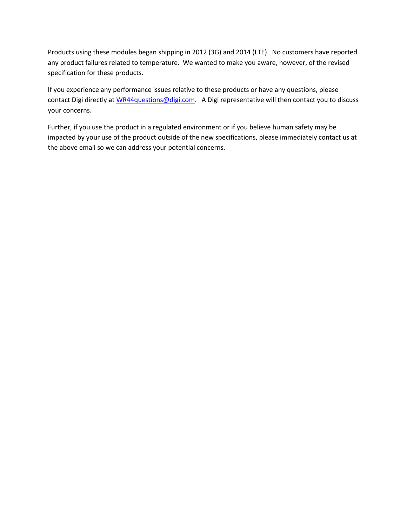Products using these modules began shipping in 2012 (3G) and 2014 (LTE). No customers have reported any product failures related to temperature. We wanted to make you aware, however, of the revised specification for these products.

If you experience any performance issues relative to these products or have any questions, please contact Digi directly at [WR44questions@digi.com.](mailto:WR44questions@digi.com) A Digi representative will then contact you to discuss your concerns.

Further, if you use the product in a regulated environment or if you believe human safety may be impacted by your use of the product outside of the new specifications, please immediately contact us at the above email so we can address your potential concerns.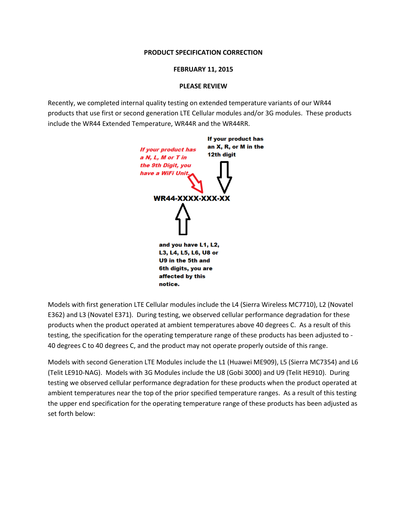# **PRODUCT SPECIFICATION CORRECTION**

## **FEBRUARY 11, 2015**

# **PLEASE REVIEW**

Recently, we completed internal quality testing on extended temperature variants of our WR44 products that use first or second generation LTE Cellular modules and/or 3G modules. These products include the WR44 Extended Temperature, WR44R and the WR44RR.



Models with first generation LTE Cellular modules include the L4 (Sierra Wireless MC7710), L2 (Novatel E362) and L3 (Novatel E371). During testing, we observed cellular performance degradation for these products when the product operated at ambient temperatures above 40 degrees C. As a result of this testing, the specification for the operating temperature range of these products has been adjusted to - 40 degrees C to 40 degrees C, and the product may not operate properly outside of this range.

Models with second Generation LTE Modules include the L1 (Huawei ME909), L5 (Sierra MC7354) and L6 (Telit LE910-NAG). Models with 3G Modules include the U8 (Gobi 3000) and U9 (Telit HE910). During testing we observed cellular performance degradation for these products when the product operated at ambient temperatures near the top of the prior specified temperature ranges. As a result of this testing the upper end specification for the operating temperature range of these products has been adjusted as set forth below: